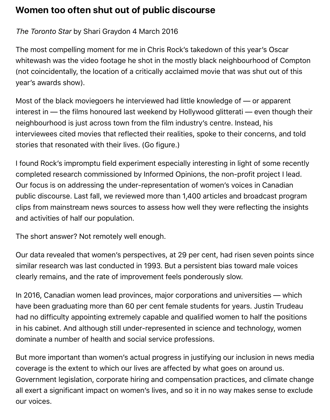## **Women too often shut out of public discourse**

## *The Toronto Star* by Shari Graydon 4 March 2016

The most compelling moment for me in Chris Rock's takedown of this year's Oscar whitewash was the video footage he shot in the mostly black neighbourhood of Compton (not coincidentally, the location of a critically acclaimed movie that was shut out of this year's awards show).

Most of the black moviegoers he interviewed had little knowledge of — or apparent interest in — the films honoured last weekend by Hollywood glitterati — even though their neighbourhood is just across town from the film industry's centre. Instead, his interviewees cited movies that reflected their realities, spoke to their concerns, and told stories that resonated with their lives. (Go figure.)

I found Rock's impromptu field experiment especially interesting in light of some recently completed research commissioned by Informed Opinions, the non-profit project I lead. Our focus is on addressing the under-representation of women's voices in Canadian public discourse. Last fall, we reviewed more than 1,400 articles and broadcast program clips from mainstream news sources to assess how well they were reflecting the insights and activities of half our population.

The short answer? Not remotely well enough.

Our data revealed that women's perspectives, at 29 per cent, had risen seven points since similar research was last conducted in 1993. But a persistent bias toward male voices clearly remains, and the rate of improvement feels ponderously slow.

In 2016, Canadian women lead provinces, major corporations and universities — which have been graduating more than 60 per cent female students for years. Justin Trudeau had no difficulty appointing extremely capable and qualified women to half the positions in his cabinet. And although still under-represented in science and technology, women dominate a number of health and social service professions.

But more important than women's actual progress in justifying our inclusion in news media coverage is the extent to which our lives are affected by what goes on around us. Government legislation, corporate hiring and compensation practices, and climate change all exert a significant impact on women's lives, and so it in no way makes sense to exclude our voices.